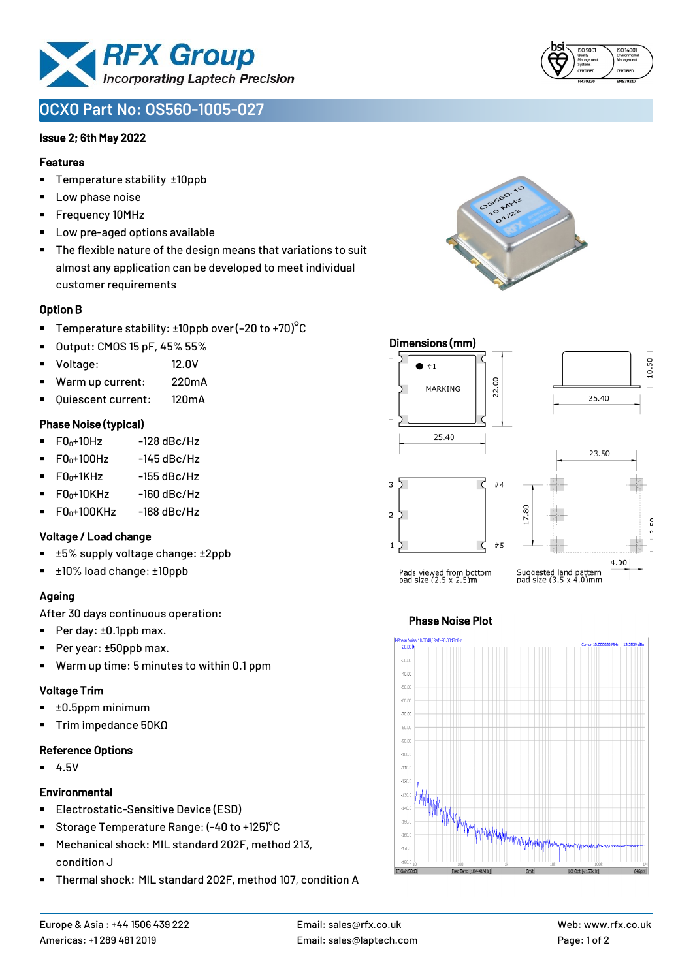

# **OCXO Part No: OS560-1005-027**

#### Issue 2; 6th May 2022

#### Features

- Temperature stability ±10ppb
- Low phase noise
- Frequency 10MHz
- Low pre-aged options available
- The flexible nature of the design means that variations to suit almost any application can be developed to meet individual customer requirements

# Option B

- **•** Temperature stability:  $\pm 10$ ppb over (-20 to +70)<sup>o</sup>C
- Output: CMOS 15 pF, 45% 55%
- Voltage: 12.0V
- Warm up current: 220mA
- Quiescent current: 120mA

# Phase Noise (typical)

- $F0_0+10Hz$  -128 dBc/Hz
- $F0_0+100$ Hz  $-145$  dBc/Hz
- $\blacksquare$  F0 $\scriptstyle{0+1}$ KHz -155 dBc/Hz
- $FO<sub>0</sub>+10KHz$  -160 dBc/Hz
- $\blacksquare$  F0<sub>0</sub>+100KHz -168 dBc/Hz

# Voltage / Load change

- ±5% supply voltage change: ±2ppb
- ±10% load change: ±10ppb

# Ageing

After 30 days continuous operation:

- Per day: ±0.1ppb max.
- Per year: ±50ppb max.
- Warm up time: 5 minutes to within 0.1 ppm

#### Voltage Trim

- ±0.5ppm minimum
- Trim impedance 50KΩ

#### Reference Options

▪ 4.5V

#### **Environmental**

- Electrostatic-Sensitive Device (ESD)
- Storage Temperature Range: (-40 to +125)<sup>°</sup>C
- Mechanical shock: MIL standard 202F, method 213, condition J
- Thermal shock: MIL standard 202F, method 107, condition A







# Phase Noise Plot